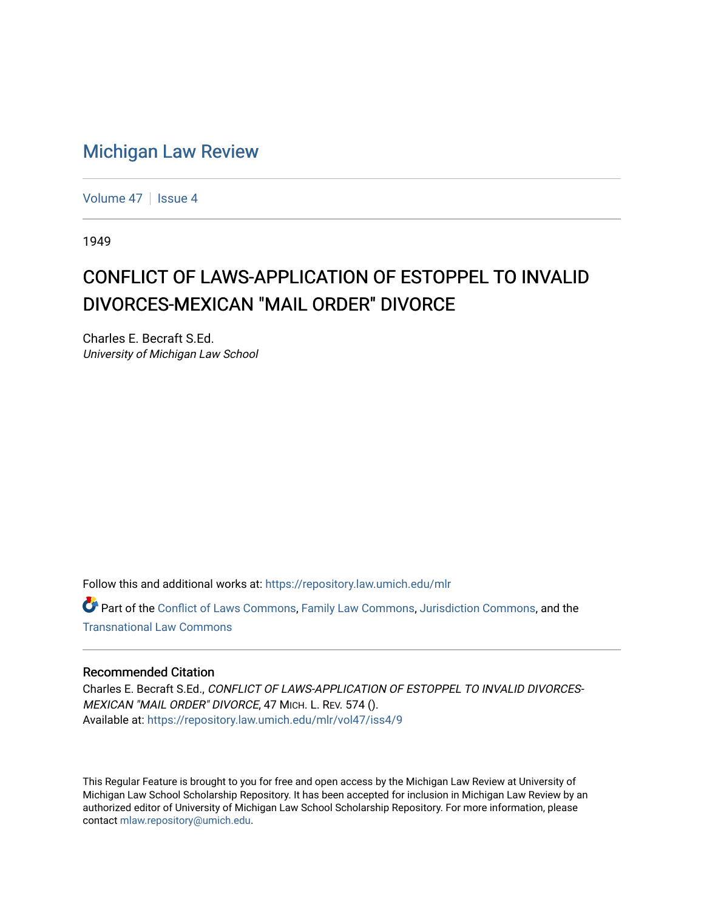## [Michigan Law Review](https://repository.law.umich.edu/mlr)

[Volume 47](https://repository.law.umich.edu/mlr/vol47) | [Issue 4](https://repository.law.umich.edu/mlr/vol47/iss4)

1949

## CONFLICT OF LAWS-APPLICATION OF ESTOPPEL TO INVALID DIVORCES-MEXICAN "MAIL ORDER" DIVORCE

Charles E. Becraft S.Ed. University of Michigan Law School

Follow this and additional works at: [https://repository.law.umich.edu/mlr](https://repository.law.umich.edu/mlr?utm_source=repository.law.umich.edu%2Fmlr%2Fvol47%2Fiss4%2F9&utm_medium=PDF&utm_campaign=PDFCoverPages) 

Part of the [Conflict of Laws Commons,](http://network.bepress.com/hgg/discipline/588?utm_source=repository.law.umich.edu%2Fmlr%2Fvol47%2Fiss4%2F9&utm_medium=PDF&utm_campaign=PDFCoverPages) [Family Law Commons,](http://network.bepress.com/hgg/discipline/602?utm_source=repository.law.umich.edu%2Fmlr%2Fvol47%2Fiss4%2F9&utm_medium=PDF&utm_campaign=PDFCoverPages) [Jurisdiction Commons](http://network.bepress.com/hgg/discipline/850?utm_source=repository.law.umich.edu%2Fmlr%2Fvol47%2Fiss4%2F9&utm_medium=PDF&utm_campaign=PDFCoverPages), and the [Transnational Law Commons](http://network.bepress.com/hgg/discipline/1123?utm_source=repository.law.umich.edu%2Fmlr%2Fvol47%2Fiss4%2F9&utm_medium=PDF&utm_campaign=PDFCoverPages)

## Recommended Citation

Charles E. Becraft S.Ed., CONFLICT OF LAWS-APPLICATION OF ESTOPPEL TO INVALID DIVORCES-MEXICAN "MAIL ORDER" DIVORCE, 47 MICH. L. REV. 574 (). Available at: [https://repository.law.umich.edu/mlr/vol47/iss4/9](https://repository.law.umich.edu/mlr/vol47/iss4/9?utm_source=repository.law.umich.edu%2Fmlr%2Fvol47%2Fiss4%2F9&utm_medium=PDF&utm_campaign=PDFCoverPages)

This Regular Feature is brought to you for free and open access by the Michigan Law Review at University of Michigan Law School Scholarship Repository. It has been accepted for inclusion in Michigan Law Review by an authorized editor of University of Michigan Law School Scholarship Repository. For more information, please contact [mlaw.repository@umich.edu](mailto:mlaw.repository@umich.edu).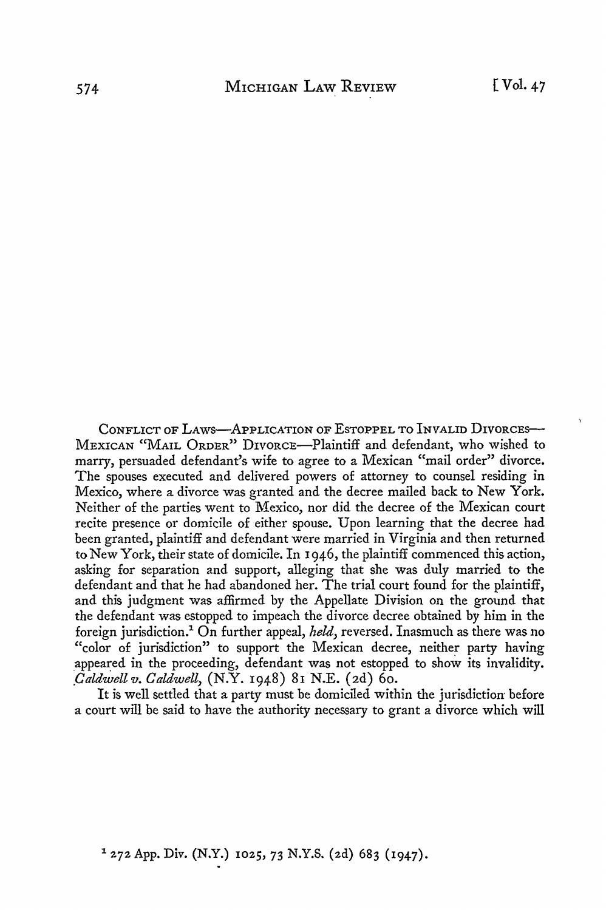CONFLICT OF LAWS-APPLICATION OF ESTOPPEL TO INVALID DIVORCES-MEXICAN "MAIL ORDER" DIVORCE-Plaintiff and defendant, who wished to marry, persuaded defendant's wife to agree to a Mexican "mail order" divorce. The spouses executed and delivered powers of attorney to counsel residing in Mexico, where a divorce was granted and the decree mailed back to New York. Neither of the parties went to Mexico, nor did the decree of the Mexican court recite presence or domicile of either spouse. Upon learning that the decree had been granted, plaintiff and defendant were married in Virginia and then returned to New York, their state of domicile. In I 946, the plaintiff commenced this action, asking for separation and support, alleging that she was duly married to the defendant and that he had abandoned her. The trial court found for the plaintiff, and this judgment was affirmed by the Appellate Division on the ground that the defendant was estopped to impeach the divorce decree obtained by him in the foreign jurisdiction.1 On further appeal, *held,* reversed. Inasmuch as there was no "color of jurisdiction" to support the Mexican decree, neither party having appeared in the proceeding, defendant was not estopped to show its invalidity. *\_Caldwell v. Caldwell,* (N.Y. I948) 8I N.E. (2d) 60.

It is well settled that a party must be domiciled within the jurisdiction- before a court will be said to have the authority necessary to grant a divorce which will

1 272 App. *Div.* (N.Y.) 1025, 73 N.Y.S. (2d) 683 (1947).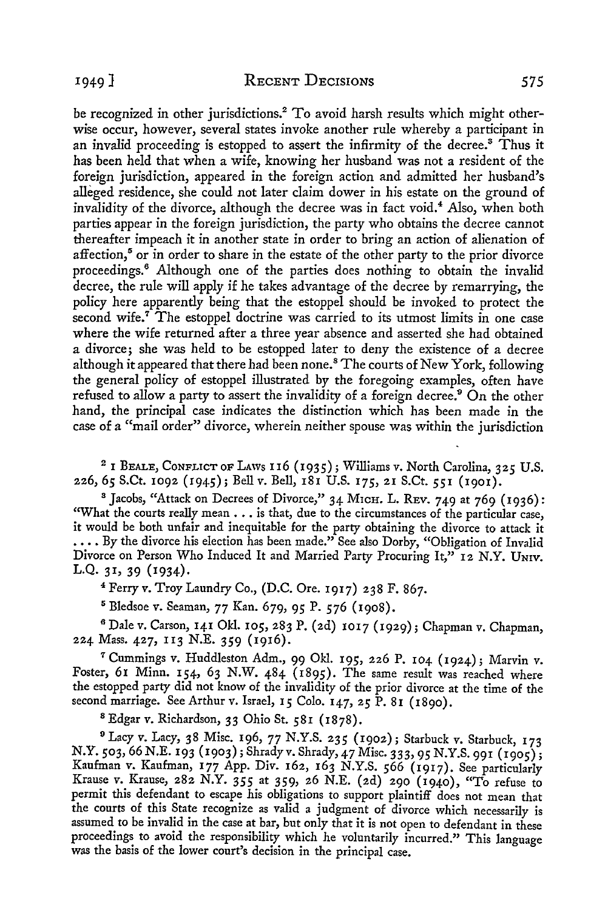be recognized in other jurisdictions.<sup>2</sup> To avoid harsh results which might otherwise occur, however, several states invoke another rule whereby a participant in an invalid proceeding is estopped to assert the infirmity of the decree.<sup>3</sup> Thus it has been held that when a wife, knowing her husband was not a resident of the foreign jurisdiction, appeared in the foreign action and admitted her husband's alleged residence, she could not later claim dower in his estate on the ground of invalidity of the divorce, although the decree was in fact void.<sup>4</sup> Also, when both parties appear in the foreign jurisdiction, the party who obtains the decree cannot thereafter impeach it in another state in order to bring an action of alienation of affection,<sup>5</sup> or in order to share in the estate of the other party to the prior divorce proceedings.<sup>6</sup> Although one of the parties does nothing to obtain the invalid decree, the rule will apply if he takes advantage of the decree by remarrying, the policy here apparently being that the estoppel should be invoked to protect the second wife.<sup> $7$ </sup> The estoppel doctrine was carried to its utmost limits in one case where the wife returned after a three year absence and asserted she had obtained a divorce; she was held to be estopped later to deny the existence of a decree although it appeared that there had been none.<sup>8</sup> The courts of New York, following the general policy of estoppel illustrated by the foregoing examples, often have refused to allow a party to assert the invalidity of a foreign decree.<sup>9</sup> On the other hand, the principal case indicates the distinction which has been made in the case of a "mail order" divorce, wherein neither spouse was within the jurisdiction

<sup>2</sup>1 BEALE, CONFLICT OF LAws 116 (1935); Williams *v.* North Carolina, 325 U.S. 226, 65 S.Ct. 1092 (1945); Bell *v.* Bell, 181 U.S. 175, 21 S.Ct. 551 (1901).

<sup>3</sup> Jacobs, "Attack on Decrees of Divorce," 34 M1cH. L. REV. 749 at 769 (1936): "What the courts really mean . . . is that, due to the circumstances of the particular case, it would be both unfair and inequitable for the party obtaining the divorce to attack it  $\ldots$  By the divorce his election has been made." See also Dorby, "Obligation of Invalid Divorce on Person Who Induced It and Married Party Procuring It," 12 N.Y. UNIV. L.Q. 31, 39 (1934).

<sup>4</sup>Ferry *v.* Troy Laundry Co., (D.C. Ore. 1917) 238 F. 867.

5 Bledsoe *v.* Seaman, 77 Kan. 679, 95 P. 576 (1908).

<sup>6</sup>Dale *v.* Carson, 141 Okl. 105, 283 P. (2d) 1017 (1929); Chapman v. Chapman, 224 Mass. 427, 113 N.E. 359 (1916).

*<sup>1</sup>*Cummings *v.* Huddleston Adm., 99 Okl. 195, 226 P. 104 (1924); Marvin *v.*  Foster, 61 Minn. 154, 63 N.W. 484 (1895). The same result was reached where the estopped party did not know of the invalidity of the prior divorce at the time of the second marriage. See Arthur *v.* Israel, **15** Colo. 147, 25 P. 81 (1890).

8 Edgar *v.* Richardson, 33 Ohio St. 581 (1878).

<sup>9</sup>Lacy *v.* Lacy, 38 Misc. 196, 77 N.Y.S. 235 (1902); Starbuck *v.* Starbuck, 173 N.Y. 503, 66 N.E. 193 (1903); Shrady v. Shrady, 47 Misc. 333, 95 N.Y.S. 991 (1905); Kaufman *v.* Kaufman, 177 App. Div. 162, 163 N.Y.S. 566 (1917). See particularly Krause *v.* Krause, 282 N.Y. 355 at 359, 26 N.E. (2d) 290 (1940), "To refuse to permit this defendant to escape his obligations to support plaintiff does not mean that the courts of this State recognize as valid a judgment of divorce which necessarily is assumed to be invalid in the case at bar, but only that it is not open to defendant in these proceedings to avoid the responsibility which he voluntarily incurred." This language was the basis of the lower court's decision in the principal case.